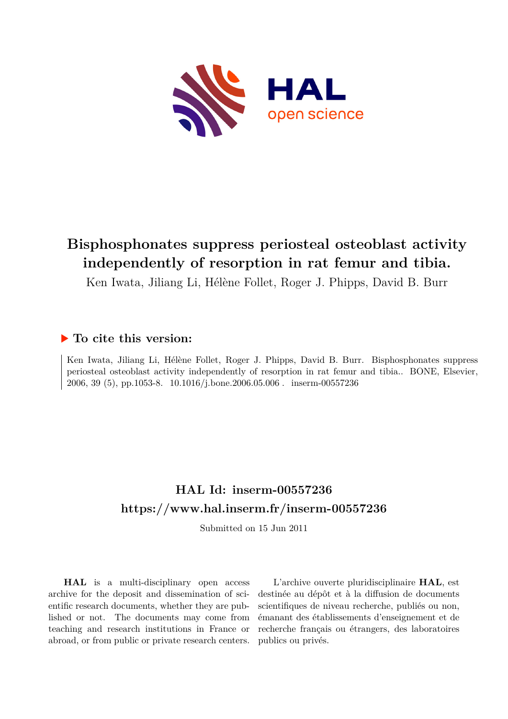

### **Bisphosphonates suppress periosteal osteoblast activity independently of resorption in rat femur and tibia.**

Ken Iwata, Jiliang Li, Hélène Follet, Roger J. Phipps, David B. Burr

### **To cite this version:**

Ken Iwata, Jiliang Li, Hélène Follet, Roger J. Phipps, David B. Burr. Bisphosphonates suppress periosteal osteoblast activity independently of resorption in rat femur and tibia.. BONE, Elsevier, 2006, 39 (5), pp.1053-8.  $10.1016/j.bone.2006.05.006$ . inserm-00557236

### **HAL Id: inserm-00557236 <https://www.hal.inserm.fr/inserm-00557236>**

Submitted on 15 Jun 2011

**HAL** is a multi-disciplinary open access archive for the deposit and dissemination of scientific research documents, whether they are published or not. The documents may come from teaching and research institutions in France or abroad, or from public or private research centers.

L'archive ouverte pluridisciplinaire **HAL**, est destinée au dépôt et à la diffusion de documents scientifiques de niveau recherche, publiés ou non, émanant des établissements d'enseignement et de recherche français ou étrangers, des laboratoires publics ou privés.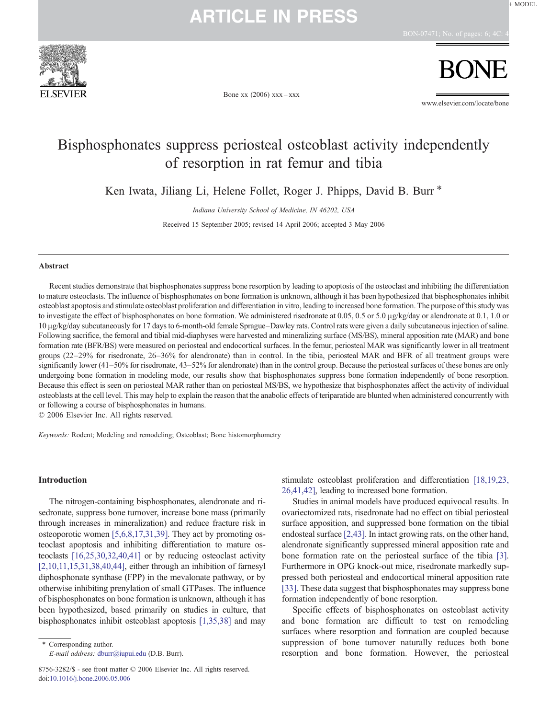

Bone xx (2006) xxx–xxx

www.elsevier.com/locate/bone

### Bisphosphonates suppress periosteal osteoblast activity independently of resorption in rat femur and tibia

Ken Iwata, Jiliang Li, Helene Follet, Roger J. Phipps, David B. Burr<sup>\*</sup>

Indiana Uníversity School of Medicine, IN 46202, USA

Received 15 September 2005; revised 14 April 2006; accepted 3 May 2006

#### Abstract

Recent studies demonstrate that bisphosphonates suppress bone resorption by leading to apoptosis of the osteoclast and inhibiting the differentiation to mature osteoclasts. The influence of bisphosphonates on bone formation is unknown, although it has been hypothesized that bisphosphonates inhibit osteoblast apoptosis and stimulate osteoblast proliferation and differentiation in vitro, leading to increased bone formation. The purpose of this study was to investigate the effect of bisphosphonates on bone formation. We administered risedronate at 0.05, 0.5 or 5.0 μg/kg/day or alendronate at 0.1, 1.0 or 10 μg/kg/day subcutaneously for 17 days to 6-month-old female Sprague–Dawley rats. Control rats were given a daily subcutaneous injection of saline. Following sacrifice, the femoral and tibial mid-diaphyses were harvested and mineralizing surface (MS/BS), mineral apposition rate (MAR) and bone formation rate (BFR/BS) were measured on periosteal and endocortical surfaces. In the femur, periosteal MAR was significantly lower in all treatment groups (22–29% for risedronate, 26–36% for alendronate) than in control. In the tibia, periosteal MAR and BFR of all treatment groups were significantly lower (41–50% for risedronate, 43–52% for alendronate) than in the control group. Because the periosteal surfaces of these bones are only undergoing bone formation in modeling mode, our results show that bisphosphonates suppress bone formation independently of bone resorption. Because this effect is seen on periosteal MAR rather than on periosteal MS/BS, we hypothesize that bisphosphonates affect the activity of individual osteoblasts at the cell level. This may help to explain the reason that the anabolic effects of teriparatide are blunted when administered concurrently with or following a course of bisphosphonates in humans.

© 2006 Elsevier Inc. All rights reserved.

Keywords: Rodent; Modeling and remodeling; Osteoblast; Bone histomorphometry

#### Introduction

The nitrogen-containing bisphosphonates, alendronate and risedronate, suppress bone turnover, increase bone mass (primarily through increases in mineralization) and reduce fracture risk in osteoporotic women [5,6,8,17,31,39]. They act by promoting osteoclast apoptosis and inhibiting differentiation to mature osteoclasts [16,25,30,32,40,41] or by reducing osteoclast activity [2,10,11,15,31,38,40,44], either through an inhibition of farnesyl diphosphonate synthase (FPP) in the mevalonate pathway, or by otherwise inhibiting prenylation of small GTPases. The influence of bisphosphonates on bone formation is unknown, although it has been hypothesized, based primarily on studies in culture, that bisphosphonates inhibit osteoblast apoptosis [1,35,38] and may

⁎ Corresponding author. E-mail address: [dburr@iupui.edu](mailto:dburr@iupui.�edu) (D.B. Burr). stimulate osteoblast proliferation and differentiation [18,19,23, 26,41,42], leading to increased bone formation.

Studies in animal models have produced equivocal results. In ovariectomized rats, risedronate had no effect on tibial periosteal surface apposition, and suppressed bone formation on the tibial endosteal surface [2,43]. In intact growing rats, on the other hand, alendronate significantly suppressed mineral apposition rate and bone formation rate on the periosteal surface of the tibia [3]. Furthermore in OPG knock-out mice, risedronate markedly suppressed both periosteal and endocortical mineral apposition rate [33]. These data suggest that bisphosphonates may suppress bone formation independently of bone resorption.

Specific effects of bisphosphonates on osteoblast activity and bone formation are difficult to test on remodeling surfaces where resorption and formation are coupled because suppression of bone turnover naturally reduces both bone resorption and bone formation. However, the periosteal

<sup>8756-3282/\$ -</sup> see front matter © 2006 Elsevier Inc. All rights reserved. doi:[10.1016/j.bone.2006.05.006](http://dx.doi.org/10.1016/j.bone.2006.05.006)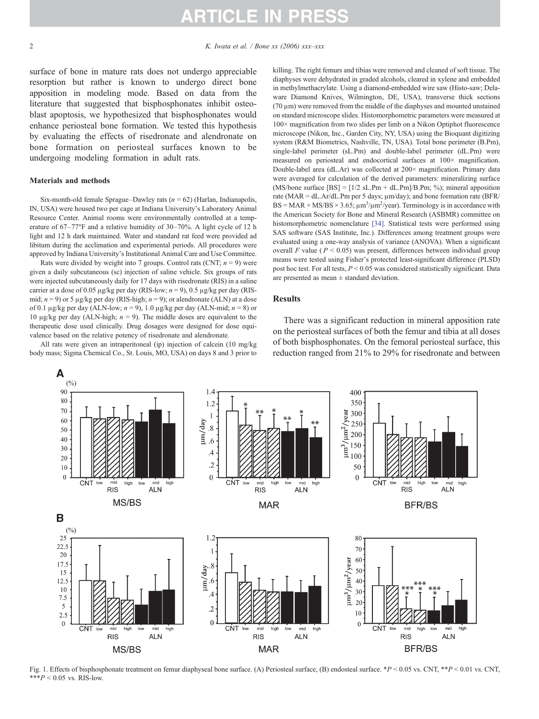surface of bone in mature rats does not undergo appreciable resorption but rather is known to undergo direct bone apposition in modeling mode. Based on data from the literature that suggested that bisphosphonates inhibit osteoblast apoptosis, we hypothesized that bisphosphonates would enhance periosteal bone formation. We tested this hypothesis by evaluating the effects of risedronate and alendronate on bone formation on periosteal surfaces known to be undergoing modeling formation in adult rats.

#### Materials and methods

Six-month-old female Sprague–Dawley rats ( $n = 62$ ) (Harlan, Indianapolis, IN, USA) were housed two per cage at Indiana University's Laboratory Animal Resource Center. Animal rooms were environmentally controlled at a temperature of 67–77°F and a relative humidity of 30–70%. A light cycle of 12 h light and 12 h dark maintained. Water and standard rat feed were provided ad libitum during the acclimation and experimental periods. All procedures were approved by Indiana University's Institutional Animal Care and Use Committee.

Rats were divided by weight into 7 groups. Control rats (CNT;  $n = 9$ ) were given a daily subcutaneous (sc) injection of saline vehicle. Six groups of rats were injected subcutaneously daily for 17 days with risedronate (RIS) in a saline carrier at a dose of 0.05 μg/kg per day (RIS-low;  $n = 9$ ), 0.5 μg/kg per day (RISmid;  $n = 9$ ) or 5 μg/kg per day (RIS-high;  $n = 9$ ); or alendronate (ALN) at a dose of 0.1 μg/kg per day (ALN-low;  $n = 9$ ), 1.0 μg/kg per day (ALN-mid;  $n = 8$ ) or 10 μg/kg per day (ALN-high;  $n = 9$ ). The middle doses are equivalent to the therapeutic dose used clinically. Drug dosages were designed for dose equivalence based on the relative potency of risedronate and alendronate.

All rats were given an intraperitoneal (ip) injection of calcein (10 mg/kg body mass; Sigma Chemical Co., St. Louis, MO, USA) on days 8 and 3 prior to

killing. The right femurs and tibias were removed and cleaned of soft tissue. The diaphyses were dehydrated in graded alcohols, cleared in xylene and embedded in methylmethacrylate. Using a diamond-embedded wire saw (Histo-saw; Delaware Diamond Knives, Wilmington, DE, USA), transverse thick sections (70 μm) were removed from the middle of the diaphyses and mounted unstained on standard microscope slides. Histomorphometric parameters were measured at 100× magnification from two slides per limb on a Nikon Optiphot fluorescence microscope (Nikon, Inc., Garden City, NY, USA) using the Bioquant digitizing system (R&M Biometrics, Nashville, TN, USA). Total bone perimeter (B.Pm), single-label perimeter (sL.Pm) and double-label perimeter (dL.Pm) were measured on periosteal and endocortical surfaces at 100× magnification. Double-label area (dL.Ar) was collected at 200× magnification. Primary data were averaged for calculation of the derived parameters: mineralizing surface (MS/bone surface  $[BS] = [1/2 sL.Pm + dL.Pm]/B.Pm$ ; %); mineral apposition rate (MAR =  $dL$ .Ar/dL.Pm per 5 days;  $\mu$ m/day); and bone formation rate (BFR/  $BS = MAR \times MS/BS \times 3.65$ ;  $\mu$ m<sup>3</sup>/ $\mu$ m<sup>2</sup>/year). Terminology is in accordance with the American Society for Bone and Mineral Research (ASBMR) committee on histomorphometric nomenclature [34]. Statistical tests were performed using SAS software (SAS Institute, Inc.). Differences among treatment groups were evaluated using a one-way analysis of variance (ANOVA). When a significant overall F value ( $P < 0.05$ ) was present, differences between individual group means were tested using Fisher's protected least-significant difference (PLSD) post hoc test. For all tests,  $P \le 0.05$  was considered statistically significant. Data are presented as mean  $\pm$  standard deviation.

#### **Results**

There was a significant reduction in mineral apposition rate on the periosteal surfaces of both the femur and tibia at all doses of both bisphosphonates. On the femoral periosteal surface, this reduction ranged from 21% to 29% for risedronate and between



Fig. 1. Effects of bisphosphonate treatment on femur diaphyseal bone surface. (A) Periosteal surface, (B) endosteal surface. \*P < 0.05 vs. CNT, \*\*P < 0.01 vs. CNT, \*\*\* $P < 0.05$  vs. RIS-low.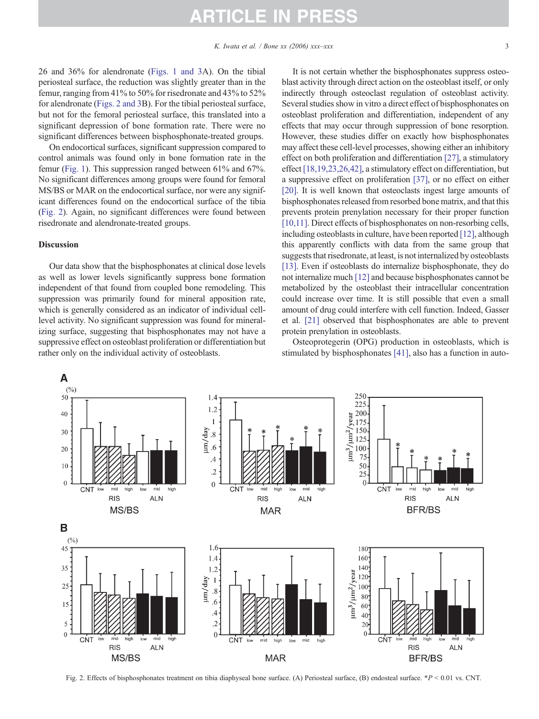26 and 36% for alendronate (Figs. 1 and 3A). On the tibial periosteal surface, the reduction was slightly greater than in the femur, ranging from 41% to 50% for risedronate and 43% to 52% for alendronate (Figs. 2 and 3B). For the tibial periosteal surface, but not for the femoral periosteal surface, this translated into a significant depression of bone formation rate. There were no significant differences between bisphosphonate-treated groups.

On endocortical surfaces, significant suppression compared to control animals was found only in bone formation rate in the femur (Fig. 1). This suppression ranged between 61% and 67%. No significant differences among groups were found for femoral MS/BS or MAR on the endocortical surface, nor were any significant differences found on the endocortical surface of the tibia (Fig. 2). Again, no significant differences were found between risedronate and alendronate-treated groups.

#### Discussion

Our data show that the bisphosphonates at clinical dose levels as well as lower levels significantly suppress bone formation independent of that found from coupled bone remodeling. This suppression was primarily found for mineral apposition rate, which is generally considered as an indicator of individual celllevel activity. No significant suppression was found for mineralizing surface, suggesting that bisphosphonates may not have a suppressive effect on osteoblast proliferation or differentiation but rather only on the individual activity of osteoblasts.

It is not certain whether the bisphosphonates suppress osteoblast activity through direct action on the osteoblast itself, or only indirectly through osteoclast regulation of osteoblast activity. Several studies show in vitro a direct effect of bisphosphonates on osteoblast proliferation and differentiation, independent of any effects that may occur through suppression of bone resorption. However, these studies differ on exactly how bisphosphonates may affect these cell-level processes, showing either an inhibitory effect on both proliferation and differentiation [27], a stimulatory effect [18,19,23,26,42], a stimulatory effect on differentiation, but a suppressive effect on proliferation [37], or no effect on either [20]. It is well known that osteoclasts ingest large amounts of bisphosphonates released from resorbed bone matrix, and that this prevents protein prenylation necessary for their proper function [10,11]. Direct effects of bisphosphonates on non-resorbing cells, including osteoblasts in culture, have been reported [12], although this apparently conflicts with data from the same group that suggests that risedronate, at least, is not internalized by osteoblasts [13]. Even if osteoblasts do internalize bisphosphonate, they do not internalize much [12] and because bisphosphonates cannot be metabolized by the osteoblast their intracellular concentration could increase over time. It is still possible that even a small amount of drug could interfere with cell function. Indeed, Gasser et al. [21] observed that bisphosphonates are able to prevent protein prenylation in osteoblasts.

Osteoprotegerin (OPG) production in osteoblasts, which is stimulated by bisphosphonates [41], also has a function in auto-



Fig. 2. Effects of bisphosphonates treatment on tibia diaphyseal bone surface. (A) Periosteal surface, (B) endosteal surface. \*P < 0.01 vs. CNT.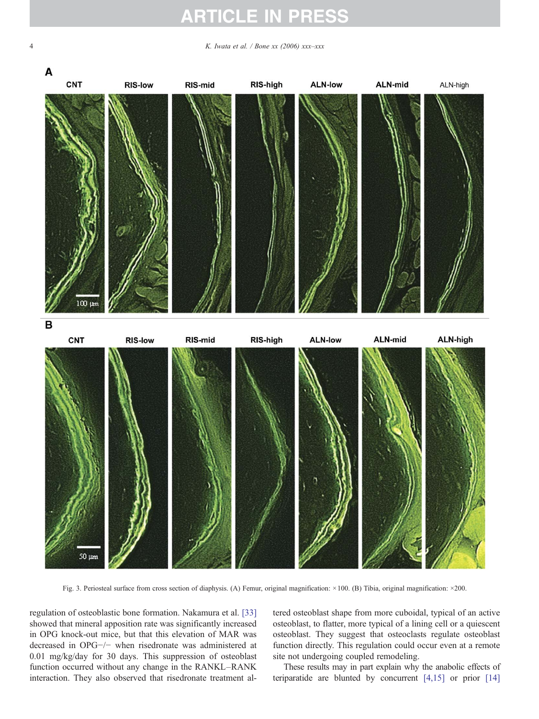4 K. Iwata et al.  $\angle$  Bone xx (2006) xxx–xxx



Fig. 3. Periosteal surface from cross section of diaphysis. (A) Femur, original magnification: ×100. (B) Tibia, original magnification: ×200.

regulation of osteoblastic bone formation. Nakamura et al. [33] showed that mineral apposition rate was significantly increased in OPG knock-out mice, but that this elevation of MAR was decreased in OPG−/− when risedronate was administered at 0.01 mg/kg/day for 30 days. This suppression of osteoblast function occurred without any change in the RANKL–RANK interaction. They also observed that risedronate treatment altered osteoblast shape from more cuboidal, typical of an active osteoblast, to flatter, more typical of a lining cell or a quiescent osteoblast. They suggest that osteoclasts regulate osteoblast function directly. This regulation could occur even at a remote site not undergoing coupled remodeling.

These results may in part explain why the anabolic effects of teriparatide are blunted by concurrent [4,15] or prior [14]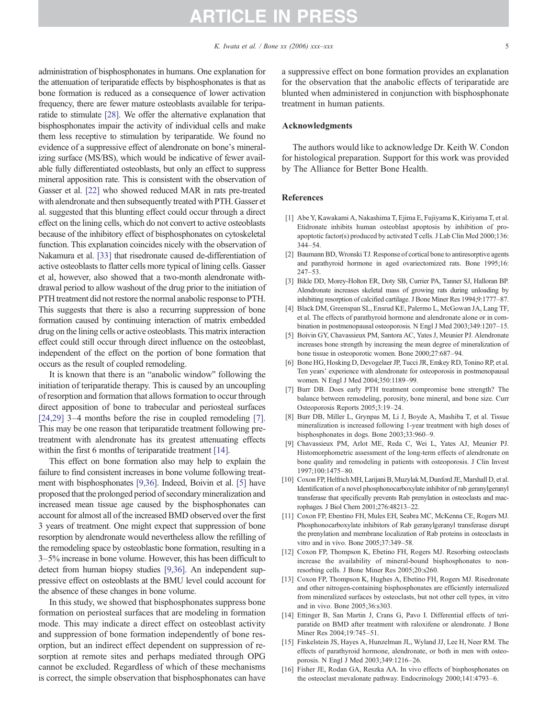administration of bisphosphonates in humans. One explanation for the attenuation of teriparatide effects by bisphosphonates is that as bone formation is reduced as a consequence of lower activation frequency, there are fewer mature osteoblasts available for teriparatide to stimulate [28]. We offer the alternative explanation that bisphosphonates impair the activity of individual cells and make them less receptive to stimulation by teriparatide. We found no evidence of a suppressive effect of alendronate on bone's mineralizing surface (MS/BS), which would be indicative of fewer available fully differentiated osteoblasts, but only an effect to suppress mineral apposition rate. This is consistent with the observation of Gasser et al. [22] who showed reduced MAR in rats pre-treated with alendronate and then subsequently treated with PTH. Gasser et al. suggested that this blunting effect could occur through a direct effect on the lining cells, which do not convert to active osteoblasts because of the inhibitory effect of bisphosphonates on cytoskeletal function. This explanation coincides nicely with the observation of Nakamura et al. [33] that risedronate caused de-differentiation of active osteoblasts to flatter cells more typical of lining cells. Gasser et al, however, also showed that a two-month alendronate withdrawal period to allow washout of the drug prior to the initiation of PTH treatment did not restore the normal anabolic response to PTH. This suggests that there is also a recurring suppression of bone formation caused by continuing interaction of matrix embedded drug on the lining cells or active osteoblasts. This matrix interaction effect could still occur through direct influence on the osteoblast, independent of the effect on the portion of bone formation that occurs as the result of coupled remodeling.

It is known that there is an "anabolic window" following the initiation of teriparatide therapy. This is caused by an uncoupling of resorption and formation that allows formation to occur through direct apposition of bone to trabecular and periosteal surfaces [24,29] 3–4 months before the rise in coupled remodeling [7]. This may be one reason that teriparatide treatment following pretreatment with alendronate has its greatest attenuating effects within the first 6 months of teriparatide treatment [14].

This effect on bone formation also may help to explain the failure to find consistent increases in bone volume following treatment with bisphosphonates [9,36]. Indeed, Boivin et al. [5] have proposed that the prolonged period of secondary mineralization and increased mean tissue age caused by the bisphosphonates can account for almost all of the increased BMD observed over the first 3 years of treatment. One might expect that suppression of bone resorption by alendronate would nevertheless allow the refilling of the remodeling space by osteoblastic bone formation, resulting in a 3–5% increase in bone volume. However, this has been difficult to detect from human biopsy studies [9,36]. An independent suppressive effect on osteoblasts at the BMU level could account for the absence of these changes in bone volume.

In this study, we showed that bisphosphonates suppress bone formation on periosteal surfaces that are modeling in formation mode. This may indicate a direct effect on osteoblast activity and suppression of bone formation independently of bone resorption, but an indirect effect dependent on suppression of resorption at remote sites and perhaps mediated through OPG cannot be excluded. Regardless of which of these mechanisms is correct, the simple observation that bisphosphonates can have a suppressive effect on bone formation provides an explanation for the observation that the anabolic effects of teriparatide are blunted when administered in conjunction with bisphosphonate treatment in human patients.

#### Acknowledgments

The authors would like to acknowledge Dr. Keith W. Condon for histological preparation. Support for this work was provided by The Alliance for Better Bone Health.

#### References

- [1] Abe Y, Kawakami A, Nakashima T, Ejima E, Fujiyama K, Kiriyama T, et al. Etidronate inhibits human osteoblast apoptosis by inhibition of proapoptotic factor(s) produced by activated T cells. J Lab Clin Med 2000;136: 344–54.
- [2] Baumann BD, Wronski TJ. Response of cortical bone to antiresorptive agents and parathyroid hormone in aged ovariectomized rats. Bone 1995;16: 247–53.
- [3] Bikle DD, Morey-Holton ER, Doty SB, Currier PA, Tanner SJ, Halloran BP. Alendronate increases skeletal mass of growing rats during unloading by inhibiting resorption of calcified cartilage. J Bone Miner Res 1994;9:1777–87.
- [4] Black DM, Greenspan SL, Ensrud KE, Palermo L, McGowan JA, Lang TF, et al. The effects of parathyroid hormone and alendronate alone or in combination in postmenopausal osteoporosis. N Engl J Med 2003;349:1207–15.
- [5] Boivin GY, Chavassieux PM, Santora AC, Yates J, Meunier PJ. Alendronate increases bone strength by increasing the mean degree of mineralization of bone tissue in osteoporotic women. Bone 2000;27:687–94.
- [6] Bone HG, Hosking D, Devogelaer JP, Tucci JR, Emkey RD, Tonino RP, et al. Ten years' experience with alendronate for osteoporosis in postmenopausal women. N Engl J Med 2004;350:1189–99.
- [7] Burr DB. Does early PTH treatment compromise bone strength? The balance between remodeling, porosity, bone mineral, and bone size. Curr Osteoporosis Reports 2005;3:19–24.
- [8] Burr DB, Miller L, Grynpas M, Li J, Boyde A, Mashiba T, et al. Tissue mineralization is increased following 1-year treatment with high doses of bisphosphonates in dogs. Bone 2003;33:960–9.
- [9] Chavassieux PM, Arlot ME, Reda C, Wei L, Yates AJ, Meunier PJ. Histomorphometric assessment of the long-term effects of alendronate on bone quality and remodeling in patients with osteoporosis. J Clin Invest 1997;100:1475–80.
- [10] Coxon FP, Helfrich MH, Larijani B, Muzylak M, Dunford JE, Marshall D, et al. Identification of a novel phosphonocarboxylate inhibitor of rab geranylgeranyl transferase that specifically prevents Rab prenylation in osteoclasts and macrophages. J Biol Chem 2001;276:48213–22.
- [11] Coxon FP, Ebentino FH, Mules EH, Seabra MC, McKenna CE, Rogers MJ. Phosphonocarboxylate inhibitors of Rab geranylgeranyl transferase disrupt the prenylation and membrane localization of Rab proteins in osteoclasts in vitro and in vivo. Bone 2005;37:349–58.
- [12] Coxon FP, Thompson K, Ebetino FH, Rogers MJ. Resorbing osteoclasts increase the availability of mineral-bound bisphosphonates to nonresorbing cells. J Bone Miner Res 2005;20:s260.
- [13] Coxon FP, Thompson K, Hughes A, Ebetino FH, Rogers MJ. Risedronate and other nitrogen-containing bisphosphonates are efficiently internalized from mineralized surfaces by osteoclasts, but not other cell types, in vitro and in vivo. Bone 2005;36:s303.
- [14] Ettinger B, San Martin J, Crans G, Pavo I. Differential effects of teriparatide on BMD after treatment with raloxifene or alendronate. J Bone Miner Res 2004;19:745–51.
- [15] Finkelstein JS, Hayes A, Hunzelman JL, Wyland JJ, Lee H, Neer RM. The effects of parathyroid hormone, alendronate, or both in men with osteoporosis. N Engl J Med 2003;349:1216–26.
- [16] Fisher JE, Rodan GA, Reszka AA. In vivo effects of bisphosphonates on the osteoclast mevalonate pathway. Endocrinology 2000;141:4793–6.